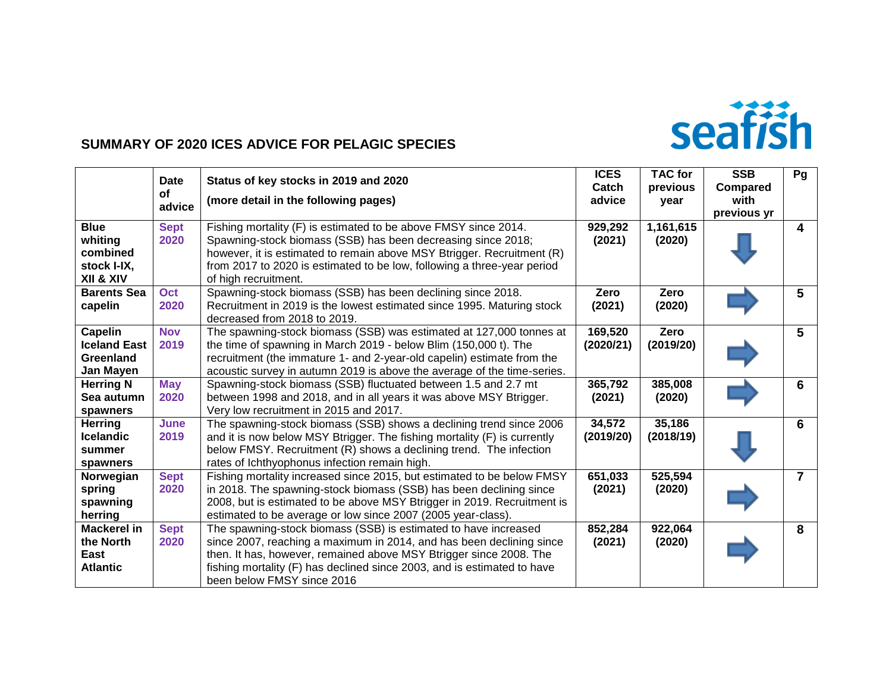

#### **SUMMARY OF 2020 ICES ADVICE FOR PELAGIC SPECIES**

|                                                                 | <b>Date</b><br><b>of</b><br>advice | Status of key stocks in 2019 and 2020<br>(more detail in the following pages)                                                                                                                                                                                                                                          | <b>ICES</b><br>Catch<br>advice | <b>TAC for</b><br>previous<br>year | <b>SSB</b><br>Compared<br>with<br>previous yr | Pg             |
|-----------------------------------------------------------------|------------------------------------|------------------------------------------------------------------------------------------------------------------------------------------------------------------------------------------------------------------------------------------------------------------------------------------------------------------------|--------------------------------|------------------------------------|-----------------------------------------------|----------------|
| <b>Blue</b><br>whiting<br>combined<br>stock I-IX,<br>XII & XIV  | <b>Sept</b><br>2020                | Fishing mortality (F) is estimated to be above FMSY since 2014.<br>Spawning-stock biomass (SSB) has been decreasing since 2018;<br>however, it is estimated to remain above MSY Btrigger. Recruitment (R)<br>from 2017 to 2020 is estimated to be low, following a three-year period<br>of high recruitment.           | 929,292<br>(2021)              | 1,161,615<br>(2020)                |                                               | 4              |
| <b>Barents Sea</b><br>capelin                                   | Oct<br>2020                        | Spawning-stock biomass (SSB) has been declining since 2018.<br>Recruitment in 2019 is the lowest estimated since 1995. Maturing stock<br>decreased from 2018 to 2019.                                                                                                                                                  | Zero<br>(2021)                 | Zero<br>(2020)                     |                                               | 5 <sup>5</sup> |
| <b>Capelin</b><br><b>Iceland East</b><br>Greenland<br>Jan Mayen | <b>Nov</b><br>2019                 | The spawning-stock biomass (SSB) was estimated at 127,000 tonnes at<br>the time of spawning in March 2019 - below Blim (150,000 t). The<br>recruitment (the immature 1- and 2-year-old capelin) estimate from the<br>acoustic survey in autumn 2019 is above the average of the time-series.                           | 169,520<br>(2020/21)           | Zero<br>(2019/20)                  |                                               | $5\phantom{1}$ |
| <b>Herring N</b><br>Sea autumn<br>spawners                      | <b>May</b><br>2020                 | Spawning-stock biomass (SSB) fluctuated between 1.5 and 2.7 mt<br>between 1998 and 2018, and in all years it was above MSY Btrigger.<br>Very low recruitment in 2015 and 2017.                                                                                                                                         | 365,792<br>(2021)              | 385,008<br>(2020)                  |                                               | 6              |
| <b>Herring</b><br><b>Icelandic</b><br>summer<br>spawners        | June<br>2019                       | The spawning-stock biomass (SSB) shows a declining trend since 2006<br>and it is now below MSY Btrigger. The fishing mortality (F) is currently<br>below FMSY. Recruitment (R) shows a declining trend. The infection<br>rates of Ichthyophonus infection remain high.                                                 | 34,572<br>(2019/20)            | 35,186<br>(2018/19)                |                                               | 6              |
| Norwegian<br>spring<br>spawning<br>herring                      | <b>Sept</b><br>2020                | Fishing mortality increased since 2015, but estimated to be below FMSY<br>in 2018. The spawning-stock biomass (SSB) has been declining since<br>2008, but is estimated to be above MSY Btrigger in 2019. Recruitment is<br>estimated to be average or low since 2007 (2005 year-class).                                | 651,033<br>(2021)              | 525,594<br>(2020)                  |                                               | $\overline{7}$ |
| <b>Mackerel in</b><br>the North<br>East<br><b>Atlantic</b>      | <b>Sept</b><br>2020                | The spawning-stock biomass (SSB) is estimated to have increased<br>since 2007, reaching a maximum in 2014, and has been declining since<br>then. It has, however, remained above MSY Btrigger since 2008. The<br>fishing mortality (F) has declined since 2003, and is estimated to have<br>been below FMSY since 2016 | 852,284<br>(2021)              | 922,064<br>(2020)                  |                                               | 8              |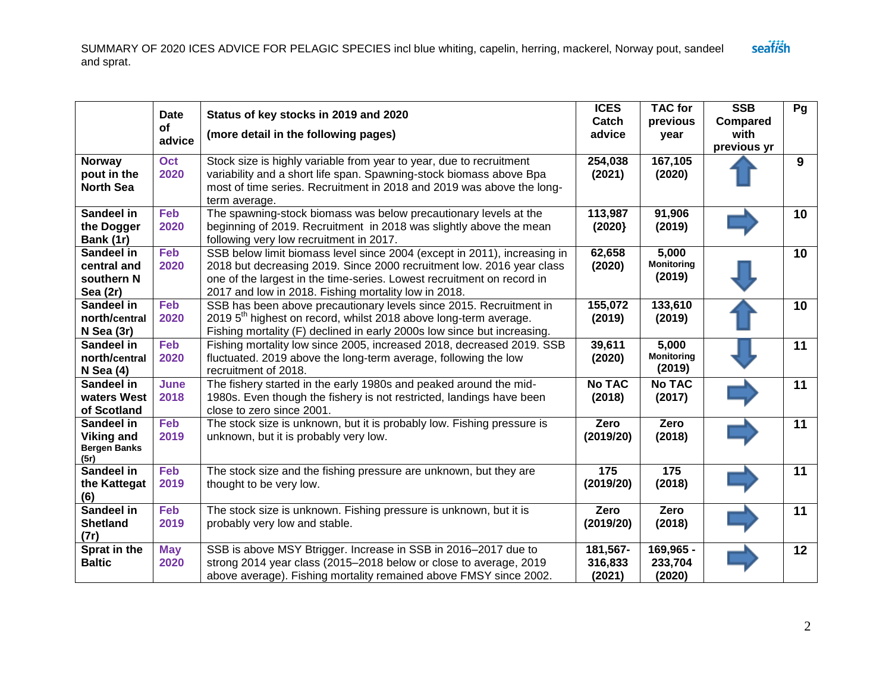|                                                                | <b>Date</b><br>of<br>advice | Status of key stocks in 2019 and 2020<br>(more detail in the following pages)                                                                                                                                                                                                       | <b>ICES</b><br>Catch<br>advice | <b>TAC for</b><br>previous<br>year   | <b>SSB</b><br>Compared<br>with<br>previous yr | Pg              |
|----------------------------------------------------------------|-----------------------------|-------------------------------------------------------------------------------------------------------------------------------------------------------------------------------------------------------------------------------------------------------------------------------------|--------------------------------|--------------------------------------|-----------------------------------------------|-----------------|
| <b>Norway</b><br>pout in the<br><b>North Sea</b>               | Oct<br>2020                 | Stock size is highly variable from year to year, due to recruitment<br>variability and a short life span. Spawning-stock biomass above Bpa<br>most of time series. Recruitment in 2018 and 2019 was above the long-<br>term average.                                                | 254,038<br>(2021)              | 167,105<br>(2020)                    |                                               | $\mathbf{9}$    |
| Sandeel in<br>the Dogger<br>Bank (1r)                          | Feb<br>2020                 | The spawning-stock biomass was below precautionary levels at the<br>beginning of 2019. Recruitment in 2018 was slightly above the mean<br>following very low recruitment in 2017.                                                                                                   | 113,987<br>(2020)              | 91,906<br>(2019)                     |                                               | 10              |
| Sandeel in<br>central and<br>southern N<br>Sea (2r)            | Feb<br>2020                 | SSB below limit biomass level since 2004 (except in 2011), increasing in<br>2018 but decreasing 2019. Since 2000 recruitment low. 2016 year class<br>one of the largest in the time-series. Lowest recruitment on record in<br>2017 and low in 2018. Fishing mortality low in 2018. | 62,658<br>(2020)               | 5,000<br><b>Monitoring</b><br>(2019) |                                               | 10 <sup>°</sup> |
| Sandeel in<br>north/central<br>$N$ Sea (3r)                    | Feb<br>2020                 | SSB has been above precautionary levels since 2015. Recruitment in<br>2019 5 <sup>th</sup> highest on record, whilst 2018 above long-term average.<br>Fishing mortality (F) declined in early 2000s low since but increasing.                                                       | 155,072<br>(2019)              | 133,610<br>(2019)                    |                                               | 10              |
| Sandeel in<br>north/central<br>$N$ Sea $(4)$                   | Feb<br>2020                 | Fishing mortality low since 2005, increased 2018, decreased 2019. SSB<br>fluctuated. 2019 above the long-term average, following the low<br>recruitment of 2018.                                                                                                                    | 39,611<br>(2020)               | 5,000<br><b>Monitoring</b><br>(2019) |                                               | 11              |
| Sandeel in<br>waters West<br>of Scotland                       | June<br>2018                | The fishery started in the early 1980s and peaked around the mid-<br>1980s. Even though the fishery is not restricted, landings have been<br>close to zero since 2001.                                                                                                              | <b>No TAC</b><br>(2018)        | <b>No TAC</b><br>(2017)              |                                               | 11              |
| Sandeel in<br><b>Viking and</b><br><b>Bergen Banks</b><br>(5r) | <b>Feb</b><br>2019          | The stock size is unknown, but it is probably low. Fishing pressure is<br>unknown, but it is probably very low.                                                                                                                                                                     | Zero<br>(2019/20)              | Zero<br>(2018)                       |                                               | 11              |
| Sandeel in<br>the Kattegat<br>(6)                              | Feb<br>2019                 | The stock size and the fishing pressure are unknown, but they are<br>thought to be very low.                                                                                                                                                                                        | 175<br>(2019/20)               | 175<br>(2018)                        |                                               | 11              |
| Sandeel in<br><b>Shetland</b><br>(7r)                          | Feb<br>2019                 | The stock size is unknown. Fishing pressure is unknown, but it is<br>probably very low and stable.                                                                                                                                                                                  | Zero<br>(2019/20)              | Zero<br>(2018)                       |                                               | 11              |
| Sprat in the<br><b>Baltic</b>                                  | <b>May</b><br>2020          | SSB is above MSY Btrigger. Increase in SSB in 2016-2017 due to<br>strong 2014 year class (2015–2018 below or close to average, 2019<br>above average). Fishing mortality remained above FMSY since 2002.                                                                            | 181,567-<br>316,833<br>(2021)  | 169,965 -<br>233,704<br>(2020)       |                                               | 12              |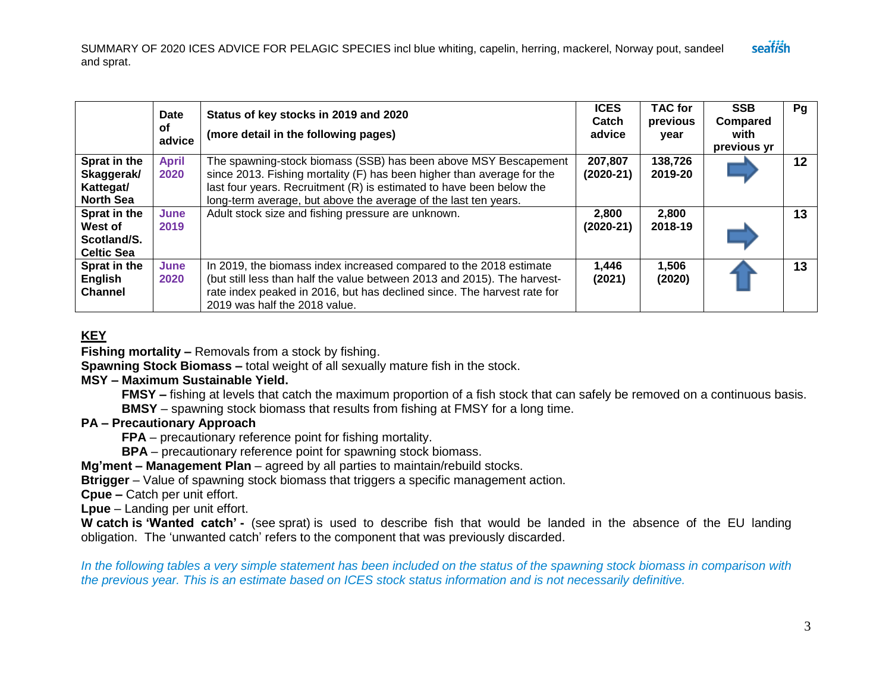|                                                             | <b>Date</b><br>οf<br>advice | Status of key stocks in 2019 and 2020<br>(more detail in the following pages)                                                                                                                                                                                                        | <b>ICES</b><br>Catch<br>advice | <b>TAC for</b><br>previous<br>year | <b>SSB</b><br>Compared<br>with<br>previous yr | Pg      |
|-------------------------------------------------------------|-----------------------------|--------------------------------------------------------------------------------------------------------------------------------------------------------------------------------------------------------------------------------------------------------------------------------------|--------------------------------|------------------------------------|-----------------------------------------------|---------|
| Sprat in the<br>Skaggerak/<br>Kattegat/<br><b>North Sea</b> | <b>April</b><br>2020        | The spawning-stock biomass (SSB) has been above MSY Bescapement<br>since 2013. Fishing mortality (F) has been higher than average for the<br>last four years. Recruitment (R) is estimated to have been below the<br>long-term average, but above the average of the last ten years. | 207,807<br>(2020-21)           | 138,726<br>2019-20                 |                                               | $12 \,$ |
| Sprat in the<br>West of<br>Scotland/S.<br><b>Celtic Sea</b> | June<br>2019                | Adult stock size and fishing pressure are unknown.                                                                                                                                                                                                                                   | 2,800<br>$(2020-21)$           | 2,800<br>2018-19                   |                                               | 13      |
| Sprat in the<br>English<br><b>Channel</b>                   | June<br>2020                | In 2019, the biomass index increased compared to the 2018 estimate<br>(but still less than half the value between 2013 and 2015). The harvest-<br>rate index peaked in 2016, but has declined since. The harvest rate for<br>2019 was half the 2018 value.                           | 1,446<br>(2021)                | 1,506<br>(2020)                    |                                               | 13      |

#### **KEY**

**Fishing mortality –** Removals from a stock by fishing.

**Spawning Stock Biomass –** total weight of all sexually mature fish in the stock.

#### **MSY – Maximum Sustainable Yield.**

**FMSY –** fishing at levels that catch the maximum proportion of a fish stock that can safely be removed on a continuous basis.

**BMSY** – spawning stock biomass that results from fishing at FMSY for a long time.

#### **PA – Precautionary Approach**

**FPA** – precautionary reference point for fishing mortality.

**BPA** – precautionary reference point for spawning stock biomass.

**Mg'ment – Management Plan** – agreed by all parties to maintain/rebuild stocks.

**Btrigger** – Value of spawning stock biomass that triggers a specific management action.

**Cpue –** Catch per unit effort.

**Lpue** – Landing per unit effort.

**W catch is 'Wanted catch' -** (see sprat) is used to describe fish that would be landed in the absence of the EU landing obligation. The 'unwanted catch' refers to the component that was previously discarded.

*In the following tables a very simple statement has been included on the status of the spawning stock biomass in comparison with the previous year. This is an estimate based on ICES stock status information and is not necessarily definitive.*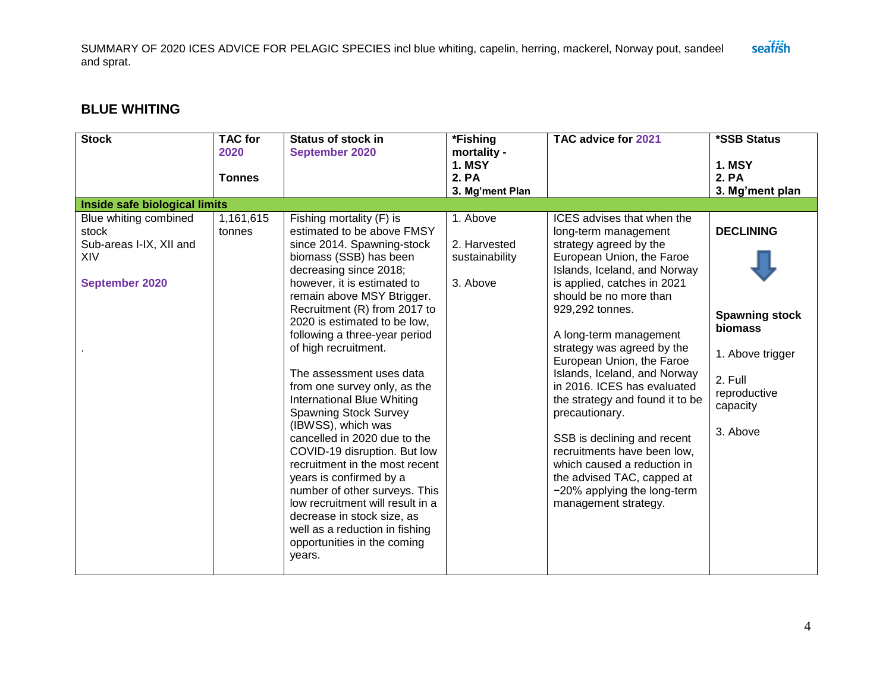## **BLUE WHITING**

| <b>Stock</b>                                                                              | <b>TAC</b> for<br>2020<br><b>Tonnes</b> | <b>Status of stock in</b><br>September 2020                                                                                                                                                                                                                                                                                                                                                                                                                                                                                                                                                                                                                                                                                                                                                      | *Fishing<br>mortality -<br><b>1. MSY</b><br>2. PA      | TAC advice for 2021                                                                                                                                                                                                                                                                                                                                                                                                                                                                                                                                                                                              | *SSB Status<br><b>1. MSY</b><br>2. PA                                                                                              |
|-------------------------------------------------------------------------------------------|-----------------------------------------|--------------------------------------------------------------------------------------------------------------------------------------------------------------------------------------------------------------------------------------------------------------------------------------------------------------------------------------------------------------------------------------------------------------------------------------------------------------------------------------------------------------------------------------------------------------------------------------------------------------------------------------------------------------------------------------------------------------------------------------------------------------------------------------------------|--------------------------------------------------------|------------------------------------------------------------------------------------------------------------------------------------------------------------------------------------------------------------------------------------------------------------------------------------------------------------------------------------------------------------------------------------------------------------------------------------------------------------------------------------------------------------------------------------------------------------------------------------------------------------------|------------------------------------------------------------------------------------------------------------------------------------|
| Inside safe biological limits                                                             |                                         |                                                                                                                                                                                                                                                                                                                                                                                                                                                                                                                                                                                                                                                                                                                                                                                                  | 3. Mg'ment Plan                                        |                                                                                                                                                                                                                                                                                                                                                                                                                                                                                                                                                                                                                  | 3. Mg'ment plan                                                                                                                    |
| Blue whiting combined<br>stock<br>Sub-areas I-IX, XII and<br>XIV<br><b>September 2020</b> | 1,161,615<br>tonnes                     | Fishing mortality (F) is<br>estimated to be above FMSY<br>since 2014. Spawning-stock<br>biomass (SSB) has been<br>decreasing since 2018;<br>however, it is estimated to<br>remain above MSY Btrigger.<br>Recruitment (R) from 2017 to<br>2020 is estimated to be low,<br>following a three-year period<br>of high recruitment.<br>The assessment uses data<br>from one survey only, as the<br><b>International Blue Whiting</b><br><b>Spawning Stock Survey</b><br>(IBWSS), which was<br>cancelled in 2020 due to the<br>COVID-19 disruption. But low<br>recruitment in the most recent<br>years is confirmed by a<br>number of other surveys. This<br>low recruitment will result in a<br>decrease in stock size, as<br>well as a reduction in fishing<br>opportunities in the coming<br>years. | 1. Above<br>2. Harvested<br>sustainability<br>3. Above | ICES advises that when the<br>long-term management<br>strategy agreed by the<br>European Union, the Faroe<br>Islands, Iceland, and Norway<br>is applied, catches in 2021<br>should be no more than<br>929,292 tonnes.<br>A long-term management<br>strategy was agreed by the<br>European Union, the Faroe<br>Islands, Iceland, and Norway<br>in 2016. ICES has evaluated<br>the strategy and found it to be<br>precautionary.<br>SSB is declining and recent<br>recruitments have been low,<br>which caused a reduction in<br>the advised TAC, capped at<br>-20% applying the long-term<br>management strategy. | <b>DECLINING</b><br><b>Spawning stock</b><br><b>biomass</b><br>1. Above trigger<br>2. Full<br>reproductive<br>capacity<br>3. Above |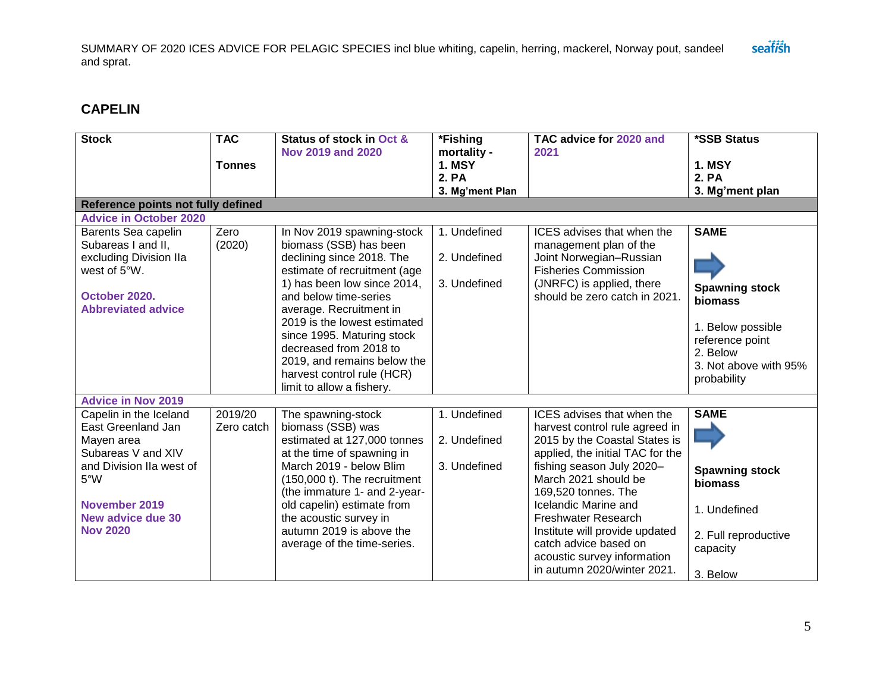### **CAPELIN**

| <b>Stock</b>                                                                                                                      | <b>TAC</b>            | Status of stock in Oct &                                                                                                                                                                                                                                                                                                                                                               | *Fishing                                     | TAC advice for 2020 and                                                                                                                                                      | *SSB Status                                                                                                                                 |
|-----------------------------------------------------------------------------------------------------------------------------------|-----------------------|----------------------------------------------------------------------------------------------------------------------------------------------------------------------------------------------------------------------------------------------------------------------------------------------------------------------------------------------------------------------------------------|----------------------------------------------|------------------------------------------------------------------------------------------------------------------------------------------------------------------------------|---------------------------------------------------------------------------------------------------------------------------------------------|
|                                                                                                                                   | <b>Tonnes</b>         | Nov 2019 and 2020                                                                                                                                                                                                                                                                                                                                                                      | mortality -<br><b>1. MSY</b>                 | 2021                                                                                                                                                                         | <b>1. MSY</b>                                                                                                                               |
|                                                                                                                                   |                       |                                                                                                                                                                                                                                                                                                                                                                                        | 2. PA<br>3. Mg'ment Plan                     |                                                                                                                                                                              | 2. PA<br>3. Mg'ment plan                                                                                                                    |
| Reference points not fully defined                                                                                                |                       |                                                                                                                                                                                                                                                                                                                                                                                        |                                              |                                                                                                                                                                              |                                                                                                                                             |
| <b>Advice in October 2020</b>                                                                                                     |                       |                                                                                                                                                                                                                                                                                                                                                                                        |                                              |                                                                                                                                                                              |                                                                                                                                             |
| Barents Sea capelin<br>Subareas I and II,<br>excluding Division IIa<br>west of 5°W.<br>October 2020.<br><b>Abbreviated advice</b> | Zero<br>(2020)        | In Nov 2019 spawning-stock<br>biomass (SSB) has been<br>declining since 2018. The<br>estimate of recruitment (age<br>1) has been low since 2014,<br>and below time-series<br>average. Recruitment in<br>2019 is the lowest estimated<br>since 1995. Maturing stock<br>decreased from 2018 to<br>2019, and remains below the<br>harvest control rule (HCR)<br>limit to allow a fishery. | 1. Undefined<br>2. Undefined<br>3. Undefined | ICES advises that when the<br>management plan of the<br>Joint Norwegian-Russian<br><b>Fisheries Commission</b><br>(JNRFC) is applied, there<br>should be zero catch in 2021. | <b>SAME</b><br><b>Spawning stock</b><br>biomass<br>1. Below possible<br>reference point<br>2. Below<br>3. Not above with 95%<br>probability |
| <b>Advice in Nov 2019</b>                                                                                                         |                       |                                                                                                                                                                                                                                                                                                                                                                                        |                                              |                                                                                                                                                                              |                                                                                                                                             |
| Capelin in the Iceland<br>East Greenland Jan<br>Mayen area<br>Subareas V and XIV<br>and Division IIa west of                      | 2019/20<br>Zero catch | The spawning-stock<br>biomass (SSB) was<br>estimated at 127,000 tonnes<br>at the time of spawning in<br>March 2019 - below Blim                                                                                                                                                                                                                                                        | 1. Undefined<br>2. Undefined<br>3. Undefined | ICES advises that when the<br>harvest control rule agreed in<br>2015 by the Coastal States is<br>applied, the initial TAC for the<br>fishing season July 2020-               | <b>SAME</b><br><b>Spawning stock</b>                                                                                                        |
| $5^{\circ}$ W<br>November 2019                                                                                                    |                       | (150,000 t). The recruitment<br>(the immature 1- and 2-year-<br>old capelin) estimate from                                                                                                                                                                                                                                                                                             |                                              | March 2021 should be<br>169,520 tonnes. The<br>Icelandic Marine and                                                                                                          | biomass<br>1. Undefined                                                                                                                     |
| <b>New advice due 30</b><br><b>Nov 2020</b>                                                                                       |                       | the acoustic survey in<br>autumn 2019 is above the<br>average of the time-series.                                                                                                                                                                                                                                                                                                      |                                              | Freshwater Research<br>Institute will provide updated<br>catch advice based on<br>acoustic survey information<br>in autumn 2020/winter 2021.                                 | 2. Full reproductive<br>capacity<br>3. Below                                                                                                |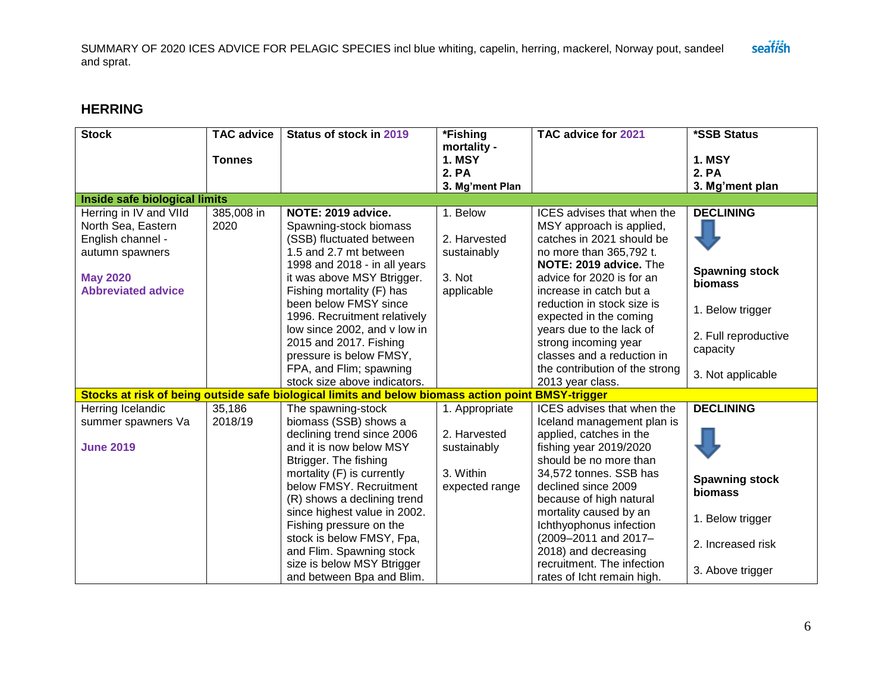## **HERRING**

| <b>Stock</b>                  | <b>TAC advice</b>  | Status of stock in 2019                                                                            | *Fishing        | TAC advice for 2021                                   | *SSB Status           |
|-------------------------------|--------------------|----------------------------------------------------------------------------------------------------|-----------------|-------------------------------------------------------|-----------------------|
|                               |                    |                                                                                                    | mortality -     |                                                       |                       |
|                               | <b>Tonnes</b>      |                                                                                                    | <b>1. MSY</b>   |                                                       | <b>1. MSY</b>         |
|                               |                    |                                                                                                    | 2. PA           |                                                       | 2. PA                 |
| Inside safe biological limits |                    |                                                                                                    | 3. Mg'ment Plan |                                                       | 3. Mg'ment plan       |
|                               |                    | NOTE: 2019 advice.                                                                                 |                 |                                                       | <b>DECLINING</b>      |
| Herring in IV and VIId        | 385,008 in<br>2020 |                                                                                                    | 1. Below        | ICES advises that when the                            |                       |
| North Sea, Eastern            |                    | Spawning-stock biomass<br>(SSB) fluctuated between                                                 | 2. Harvested    | MSY approach is applied,<br>catches in 2021 should be |                       |
| English channel -             |                    | 1.5 and 2.7 mt between                                                                             |                 |                                                       |                       |
| autumn spawners               |                    | 1998 and 2018 - in all years                                                                       | sustainably     | no more than 365,792 t.<br>NOTE: 2019 advice. The     |                       |
| <b>May 2020</b>               |                    | it was above MSY Btrigger.                                                                         | 3. Not          | advice for 2020 is for an                             | <b>Spawning stock</b> |
| <b>Abbreviated advice</b>     |                    | Fishing mortality (F) has                                                                          | applicable      | increase in catch but a                               | biomass               |
|                               |                    | been below FMSY since                                                                              |                 | reduction in stock size is                            |                       |
|                               |                    | 1996. Recruitment relatively                                                                       |                 | expected in the coming                                | 1. Below trigger      |
|                               |                    | low since 2002, and v low in                                                                       |                 | years due to the lack of                              |                       |
|                               |                    | 2015 and 2017. Fishing                                                                             |                 | strong incoming year                                  | 2. Full reproductive  |
|                               |                    | pressure is below FMSY,                                                                            |                 | classes and a reduction in                            | capacity              |
|                               |                    | FPA, and Flim; spawning                                                                            |                 | the contribution of the strong                        |                       |
|                               |                    | stock size above indicators.                                                                       |                 | 2013 year class.                                      | 3. Not applicable     |
|                               |                    | Stocks at risk of being outside safe biological limits and below biomass action point BMSY-trigger |                 |                                                       |                       |
| Herring Icelandic             | 35,186             | The spawning-stock                                                                                 | 1. Appropriate  | ICES advises that when the                            | <b>DECLINING</b>      |
| summer spawners Va            | 2018/19            | biomass (SSB) shows a                                                                              |                 | Iceland management plan is                            |                       |
|                               |                    | declining trend since 2006                                                                         | 2. Harvested    | applied, catches in the                               |                       |
| <b>June 2019</b>              |                    | and it is now below MSY                                                                            | sustainably     | fishing year 2019/2020                                |                       |
|                               |                    | Btrigger. The fishing                                                                              |                 | should be no more than                                |                       |
|                               |                    | mortality (F) is currently                                                                         | 3. Within       | 34,572 tonnes. SSB has                                |                       |
|                               |                    | below FMSY. Recruitment                                                                            | expected range  | declined since 2009                                   | <b>Spawning stock</b> |
|                               |                    | (R) shows a declining trend                                                                        |                 | because of high natural                               | biomass               |
|                               |                    | since highest value in 2002.                                                                       |                 | mortality caused by an                                | 1. Below trigger      |
|                               |                    | Fishing pressure on the                                                                            |                 | Ichthyophonus infection                               |                       |
|                               |                    | stock is below FMSY, Fpa,                                                                          |                 | (2009-2011 and 2017-                                  | 2. Increased risk     |
|                               |                    | and Flim. Spawning stock                                                                           |                 | 2018) and decreasing                                  |                       |
|                               |                    | size is below MSY Btrigger                                                                         |                 | recruitment. The infection                            | 3. Above trigger      |
|                               |                    | and between Bpa and Blim.                                                                          |                 | rates of lcht remain high.                            |                       |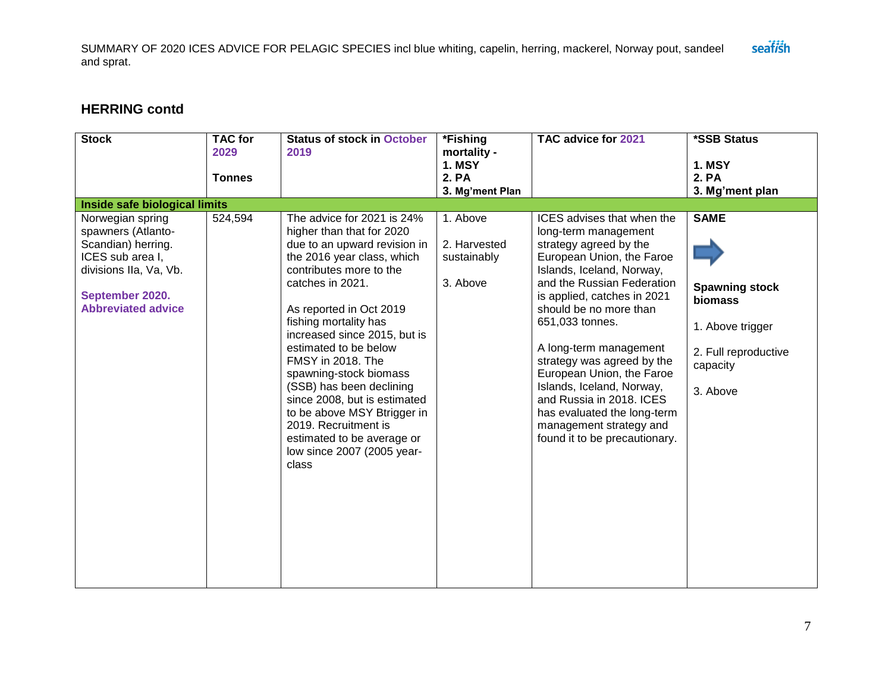## **HERRING contd**

| <b>Stock</b>                                                                                                                                               | <b>TAC for</b><br>2029<br><b>Tonnes</b> | <b>Status of stock in October</b><br>2019                                                                                                                                                                                                                                                                                                                                                                                                                                                                                | *Fishing<br>mortality -<br><b>1. MSY</b><br>2. PA<br>3. Mg'ment Plan | TAC advice for 2021                                                                                                                                                                                                                                                                                                                                                                                                                                                                       | *SSB Status<br><b>1. MSY</b><br>2. PA<br>3. Mg'ment plan                                                                   |
|------------------------------------------------------------------------------------------------------------------------------------------------------------|-----------------------------------------|--------------------------------------------------------------------------------------------------------------------------------------------------------------------------------------------------------------------------------------------------------------------------------------------------------------------------------------------------------------------------------------------------------------------------------------------------------------------------------------------------------------------------|----------------------------------------------------------------------|-------------------------------------------------------------------------------------------------------------------------------------------------------------------------------------------------------------------------------------------------------------------------------------------------------------------------------------------------------------------------------------------------------------------------------------------------------------------------------------------|----------------------------------------------------------------------------------------------------------------------------|
| Inside safe biological limits                                                                                                                              |                                         |                                                                                                                                                                                                                                                                                                                                                                                                                                                                                                                          |                                                                      |                                                                                                                                                                                                                                                                                                                                                                                                                                                                                           |                                                                                                                            |
| Norwegian spring<br>spawners (Atlanto-<br>Scandian) herring.<br>ICES sub area I,<br>divisions IIa, Va, Vb.<br>September 2020.<br><b>Abbreviated advice</b> | 524,594                                 | The advice for 2021 is 24%<br>higher than that for 2020<br>due to an upward revision in<br>the 2016 year class, which<br>contributes more to the<br>catches in 2021.<br>As reported in Oct 2019<br>fishing mortality has<br>increased since 2015, but is<br>estimated to be below<br>FMSY in 2018. The<br>spawning-stock biomass<br>(SSB) has been declining<br>since 2008, but is estimated<br>to be above MSY Btrigger in<br>2019. Recruitment is<br>estimated to be average or<br>low since 2007 (2005 year-<br>class | 1. Above<br>2. Harvested<br>sustainably<br>3. Above                  | ICES advises that when the<br>long-term management<br>strategy agreed by the<br>European Union, the Faroe<br>Islands, Iceland, Norway,<br>and the Russian Federation<br>is applied, catches in 2021<br>should be no more than<br>651,033 tonnes.<br>A long-term management<br>strategy was agreed by the<br>European Union, the Faroe<br>Islands, Iceland, Norway,<br>and Russia in 2018. ICES<br>has evaluated the long-term<br>management strategy and<br>found it to be precautionary. | <b>SAME</b><br><b>Spawning stock</b><br><b>biomass</b><br>1. Above trigger<br>2. Full reproductive<br>capacity<br>3. Above |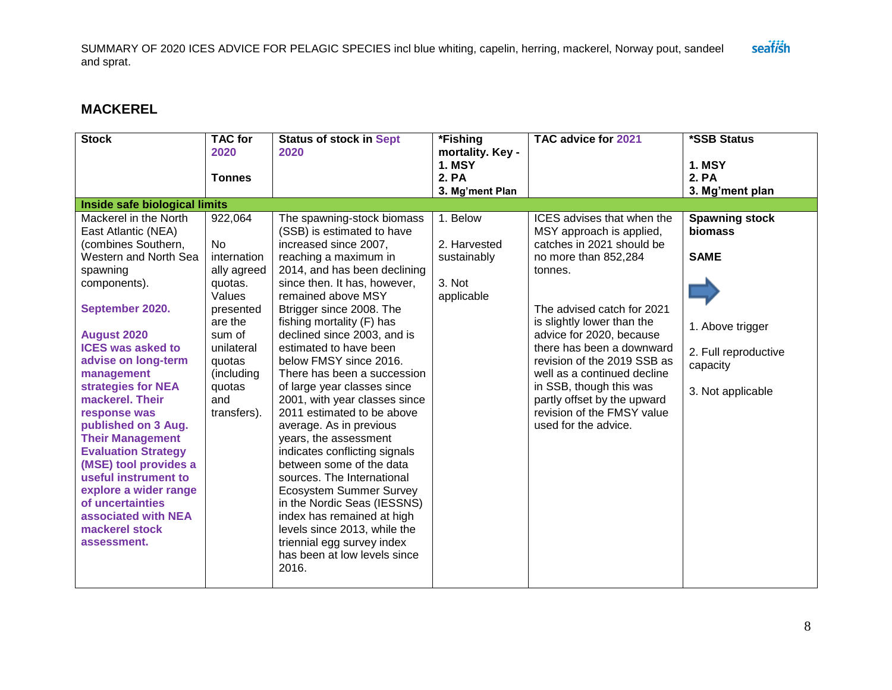# **MACKEREL**

| <b>Stock</b>                  | <b>TAC for</b><br>2020 | <b>Status of stock in Sept</b><br>2020 | *Fishing<br>mortality. Key - | TAC advice for 2021         | *SSB Status           |
|-------------------------------|------------------------|----------------------------------------|------------------------------|-----------------------------|-----------------------|
|                               |                        |                                        | <b>1. MSY</b>                |                             | <b>1. MSY</b>         |
|                               | <b>Tonnes</b>          |                                        | 2. PA                        |                             | 2. PA                 |
|                               |                        |                                        | 3. Mg'ment Plan              |                             | 3. Mg'ment plan       |
| Inside safe biological limits |                        |                                        |                              |                             |                       |
| Mackerel in the North         | 922,064                | The spawning-stock biomass             | 1. Below                     | ICES advises that when the  | <b>Spawning stock</b> |
| East Atlantic (NEA)           |                        | (SSB) is estimated to have             |                              | MSY approach is applied,    | biomass               |
| (combines Southern,           | No                     | increased since 2007,                  | 2. Harvested                 | catches in 2021 should be   |                       |
| Western and North Sea         | internation            | reaching a maximum in                  | sustainably                  | no more than 852,284        | <b>SAME</b>           |
| spawning                      | ally agreed            | 2014, and has been declining           |                              | tonnes.                     |                       |
| components).                  | quotas.                | since then. It has, however,           | 3. Not                       |                             |                       |
|                               | Values                 | remained above MSY                     | applicable                   |                             |                       |
| September 2020.               | presented              | Btrigger since 2008. The               |                              | The advised catch for 2021  |                       |
|                               | are the                | fishing mortality (F) has              |                              | is slightly lower than the  | 1. Above trigger      |
| <b>August 2020</b>            | sum of                 | declined since 2003, and is            |                              | advice for 2020, because    |                       |
| <b>ICES was asked to</b>      | unilateral             | estimated to have been                 |                              | there has been a downward   | 2. Full reproductive  |
| advise on long-term           | quotas                 | below FMSY since 2016.                 |                              | revision of the 2019 SSB as | capacity              |
| management                    | (including             | There has been a succession            |                              | well as a continued decline |                       |
| strategies for NEA            | quotas                 | of large year classes since            |                              | in SSB, though this was     | 3. Not applicable     |
| mackerel. Their               | and                    | 2001, with year classes since          |                              | partly offset by the upward |                       |
| response was                  | transfers).            | 2011 estimated to be above             |                              | revision of the FMSY value  |                       |
| published on 3 Aug.           |                        | average. As in previous                |                              | used for the advice.        |                       |
| <b>Their Management</b>       |                        | years, the assessment                  |                              |                             |                       |
| <b>Evaluation Strategy</b>    |                        | indicates conflicting signals          |                              |                             |                       |
| (MSE) tool provides a         |                        | between some of the data               |                              |                             |                       |
| useful instrument to          |                        | sources. The International             |                              |                             |                       |
| explore a wider range         |                        | <b>Ecosystem Summer Survey</b>         |                              |                             |                       |
| of uncertainties              |                        | in the Nordic Seas (IESSNS)            |                              |                             |                       |
| associated with NEA           |                        | index has remained at high             |                              |                             |                       |
| mackerel stock                |                        | levels since 2013, while the           |                              |                             |                       |
| assessment.                   |                        | triennial egg survey index             |                              |                             |                       |
|                               |                        | has been at low levels since           |                              |                             |                       |
|                               |                        | 2016.                                  |                              |                             |                       |
|                               |                        |                                        |                              |                             |                       |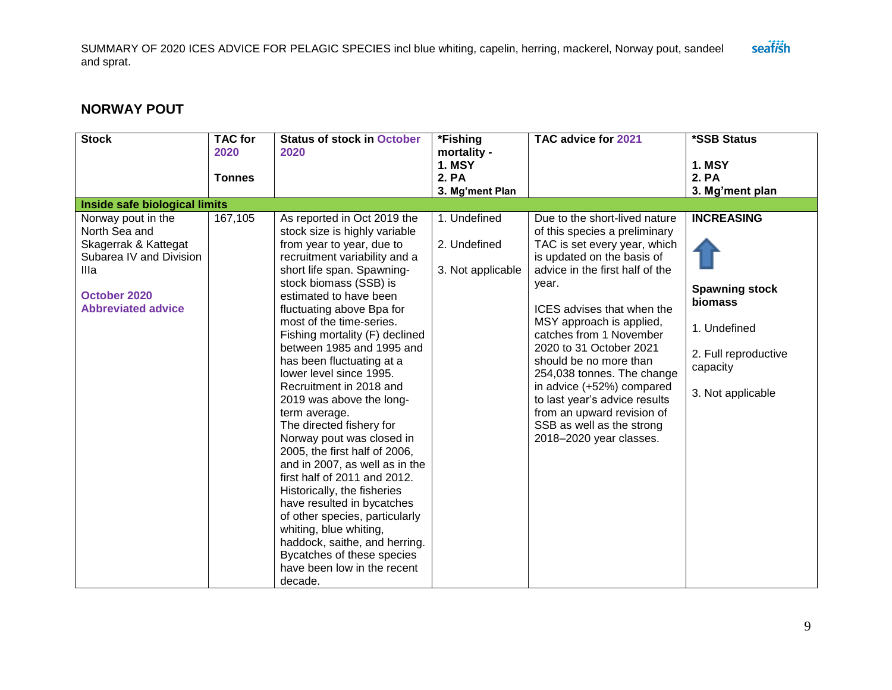## **NORWAY POUT**

| <b>Stock</b>                                                                                                                                | <b>TAC for</b><br>2020<br><b>Tonnes</b> | <b>Status of stock in October</b><br>2020                                                                                                                                                                                                                                                                                                                                                                                                                                                                                                                                                                                                                                                                                                                                                                                                                          | *Fishing<br>mortality -<br><b>1. MSY</b><br>2. PA | TAC advice for 2021                                                                                                                                                                                                                                                                                                                                                                                                                                                                                  | *SSB Status<br><b>1. MSY</b><br>2. PA                                                                                          |
|---------------------------------------------------------------------------------------------------------------------------------------------|-----------------------------------------|--------------------------------------------------------------------------------------------------------------------------------------------------------------------------------------------------------------------------------------------------------------------------------------------------------------------------------------------------------------------------------------------------------------------------------------------------------------------------------------------------------------------------------------------------------------------------------------------------------------------------------------------------------------------------------------------------------------------------------------------------------------------------------------------------------------------------------------------------------------------|---------------------------------------------------|------------------------------------------------------------------------------------------------------------------------------------------------------------------------------------------------------------------------------------------------------------------------------------------------------------------------------------------------------------------------------------------------------------------------------------------------------------------------------------------------------|--------------------------------------------------------------------------------------------------------------------------------|
|                                                                                                                                             |                                         |                                                                                                                                                                                                                                                                                                                                                                                                                                                                                                                                                                                                                                                                                                                                                                                                                                                                    | 3. Mg'ment Plan                                   |                                                                                                                                                                                                                                                                                                                                                                                                                                                                                                      | 3. Mg'ment plan                                                                                                                |
| Inside safe biological limits                                                                                                               |                                         |                                                                                                                                                                                                                                                                                                                                                                                                                                                                                                                                                                                                                                                                                                                                                                                                                                                                    |                                                   |                                                                                                                                                                                                                                                                                                                                                                                                                                                                                                      |                                                                                                                                |
| Norway pout in the<br>North Sea and<br>Skagerrak & Kattegat<br>Subarea IV and Division<br>Illa<br>October 2020<br><b>Abbreviated advice</b> | 167,105                                 | As reported in Oct 2019 the<br>stock size is highly variable<br>from year to year, due to<br>recruitment variability and a<br>short life span. Spawning-<br>stock biomass (SSB) is<br>estimated to have been<br>fluctuating above Bpa for<br>most of the time-series.<br>Fishing mortality (F) declined<br>between 1985 and 1995 and<br>has been fluctuating at a<br>lower level since 1995.<br>Recruitment in 2018 and<br>2019 was above the long-<br>term average.<br>The directed fishery for<br>Norway pout was closed in<br>2005, the first half of 2006,<br>and in 2007, as well as in the<br>first half of 2011 and 2012.<br>Historically, the fisheries<br>have resulted in bycatches<br>of other species, particularly<br>whiting, blue whiting,<br>haddock, saithe, and herring.<br>Bycatches of these species<br>have been low in the recent<br>decade. | 1. Undefined<br>2. Undefined<br>3. Not applicable | Due to the short-lived nature<br>of this species a preliminary<br>TAC is set every year, which<br>is updated on the basis of<br>advice in the first half of the<br>year.<br>ICES advises that when the<br>MSY approach is applied,<br>catches from 1 November<br>2020 to 31 October 2021<br>should be no more than<br>254,038 tonnes. The change<br>in advice (+52%) compared<br>to last year's advice results<br>from an upward revision of<br>SSB as well as the strong<br>2018-2020 year classes. | <b>INCREASING</b><br><b>Spawning stock</b><br>biomass<br>1. Undefined<br>2. Full reproductive<br>capacity<br>3. Not applicable |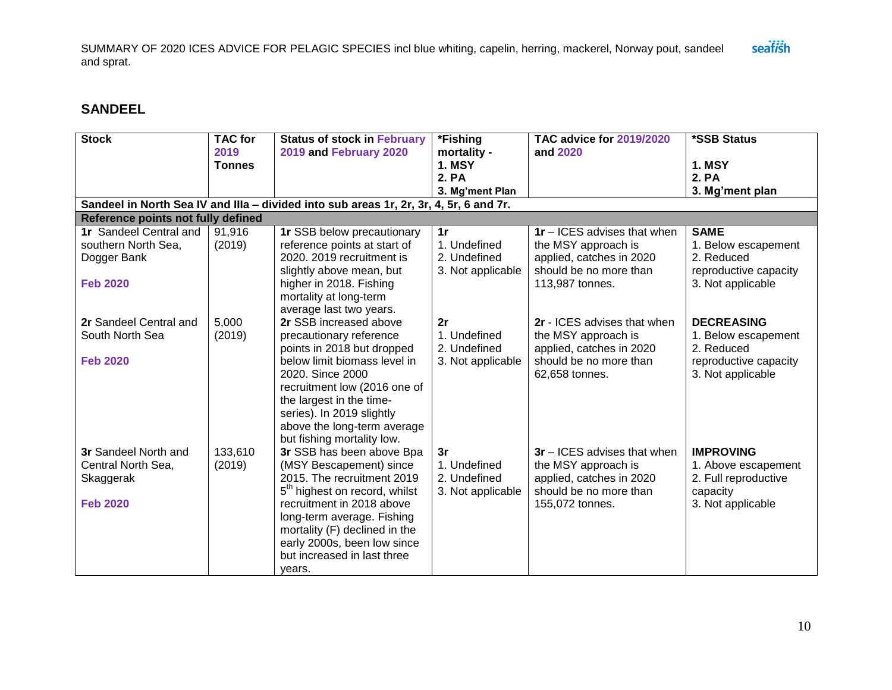### **SANDEEL**

| <b>Stock</b>                       | <b>TAC</b> for        | <b>Status of stock in February</b>                                                     | *Fishing                     | <b>TAC advice for 2019/2020</b>    | *SSB Status           |
|------------------------------------|-----------------------|----------------------------------------------------------------------------------------|------------------------------|------------------------------------|-----------------------|
|                                    | 2019<br><b>Tonnes</b> | 2019 and February 2020                                                                 | mortality -<br><b>1. MSY</b> | and 2020                           | <b>1. MSY</b>         |
|                                    |                       |                                                                                        | 2. PA                        |                                    | 2. PA                 |
|                                    |                       |                                                                                        | 3. Mg'ment Plan              |                                    | 3. Mg'ment plan       |
|                                    |                       | Sandeel in North Sea IV and IIIa - divided into sub areas 1r, 2r, 3r, 4, 5r, 6 and 7r. |                              |                                    |                       |
| Reference points not fully defined |                       |                                                                                        |                              |                                    |                       |
| 1r Sandeel Central and             | 91,916                | 1r SSB below precautionary                                                             | 1r                           | <b>1r</b> – ICES advises that when | <b>SAME</b>           |
| southern North Sea,                | (2019)                | reference points at start of                                                           | 1. Undefined                 | the MSY approach is                | 1. Below escapement   |
| Dogger Bank                        |                       | 2020, 2019 recruitment is                                                              | 2. Undefined                 | applied, catches in 2020           | 2. Reduced            |
|                                    |                       | slightly above mean, but                                                               | 3. Not applicable            | should be no more than             | reproductive capacity |
| <b>Feb 2020</b>                    |                       | higher in 2018. Fishing                                                                |                              | 113,987 tonnes.                    | 3. Not applicable     |
|                                    |                       | mortality at long-term                                                                 |                              |                                    |                       |
|                                    |                       | average last two years.                                                                |                              |                                    |                       |
| 2r Sandeel Central and             | 5,000                 | 2r SSB increased above                                                                 | 2r                           | 2r - ICES advises that when        | <b>DECREASING</b>     |
| South North Sea                    | (2019)                | precautionary reference                                                                | 1. Undefined                 | the MSY approach is                | 1. Below escapement   |
|                                    |                       | points in 2018 but dropped                                                             | 2. Undefined                 | applied, catches in 2020           | 2. Reduced            |
| <b>Feb 2020</b>                    |                       | below limit biomass level in                                                           | 3. Not applicable            | should be no more than             | reproductive capacity |
|                                    |                       | 2020. Since 2000                                                                       |                              | 62,658 tonnes.                     | 3. Not applicable     |
|                                    |                       | recruitment low (2016 one of                                                           |                              |                                    |                       |
|                                    |                       | the largest in the time-                                                               |                              |                                    |                       |
|                                    |                       | series). In 2019 slightly                                                              |                              |                                    |                       |
|                                    |                       | above the long-term average                                                            |                              |                                    |                       |
|                                    |                       | but fishing mortality low.                                                             |                              |                                    |                       |
| 3r Sandeel North and               | 133,610               | 3r SSB has been above Bpa                                                              | 3r                           | <b>3r</b> – ICES advises that when | <b>IMPROVING</b>      |
| Central North Sea,                 | (2019)                | (MSY Bescapement) since                                                                | 1. Undefined                 | the MSY approach is                | 1. Above escapement   |
| Skaggerak                          |                       | 2015. The recruitment 2019                                                             | 2. Undefined                 | applied, catches in 2020           | 2. Full reproductive  |
|                                    |                       | 5 <sup>th</sup> highest on record, whilst                                              | 3. Not applicable            | should be no more than             | capacity              |
| <b>Feb 2020</b>                    |                       | recruitment in 2018 above                                                              |                              | 155,072 tonnes.                    | 3. Not applicable     |
|                                    |                       | long-term average. Fishing                                                             |                              |                                    |                       |
|                                    |                       | mortality (F) declined in the                                                          |                              |                                    |                       |
|                                    |                       | early 2000s, been low since                                                            |                              |                                    |                       |
|                                    |                       | but increased in last three                                                            |                              |                                    |                       |
|                                    |                       | years.                                                                                 |                              |                                    |                       |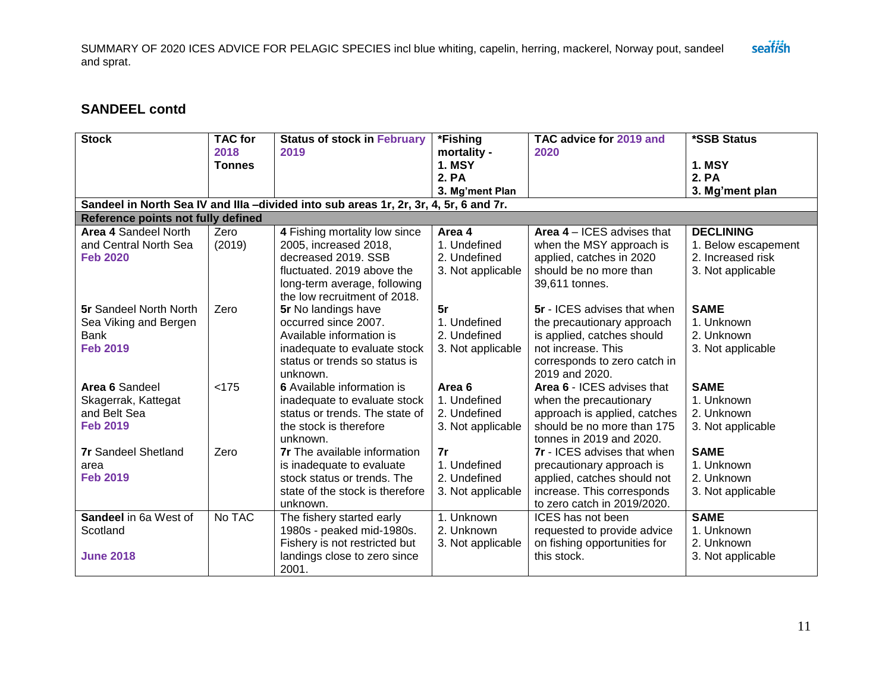### **SANDEEL contd**

| <b>Stock</b>                         | <b>TAC</b> for<br>2018<br><b>Tonnes</b> | <b>Status of stock in February</b><br>2019                                            | *Fishing<br>mortality -<br><b>1. MSY</b> | TAC advice for 2019 and<br>2020                          | *SSB Status<br><b>1. MSY</b> |
|--------------------------------------|-----------------------------------------|---------------------------------------------------------------------------------------|------------------------------------------|----------------------------------------------------------|------------------------------|
|                                      |                                         |                                                                                       | 2. PA                                    |                                                          | <b>2. PA</b>                 |
|                                      |                                         |                                                                                       | 3. Mg'ment Plan                          |                                                          | 3. Mg'ment plan              |
|                                      |                                         | Sandeel in North Sea IV and IIIa -divided into sub areas 1r, 2r, 3r, 4, 5r, 6 and 7r. |                                          |                                                          |                              |
| Reference points not fully defined   |                                         |                                                                                       |                                          |                                                          |                              |
| Area 4 Sandeel North                 | Zero                                    | 4 Fishing mortality low since                                                         | Area 4                                   | <b>Area 4 – ICES advises that</b>                        | <b>DECLINING</b>             |
| and Central North Sea                | (2019)                                  | 2005, increased 2018,                                                                 | 1. Undefined                             | when the MSY approach is                                 | 1. Below escapement          |
| <b>Feb 2020</b>                      |                                         | decreased 2019, SSB                                                                   | 2. Undefined                             | applied, catches in 2020                                 | 2. Increased risk            |
|                                      |                                         | fluctuated. 2019 above the                                                            | 3. Not applicable                        | should be no more than                                   | 3. Not applicable            |
|                                      |                                         | long-term average, following                                                          |                                          | 39,611 tonnes.                                           |                              |
|                                      |                                         | the low recruitment of 2018.                                                          |                                          |                                                          |                              |
| <b>5r</b> Sandeel North North        | Zero                                    | 5r No landings have                                                                   | 5r                                       | 5r - ICES advises that when                              | <b>SAME</b>                  |
| Sea Viking and Bergen<br><b>Bank</b> |                                         | occurred since 2007.<br>Available information is                                      | 1. Undefined<br>2. Undefined             | the precautionary approach<br>is applied, catches should | 1. Unknown<br>2. Unknown     |
| <b>Feb 2019</b>                      |                                         |                                                                                       | 3. Not applicable                        | not increase. This                                       | 3. Not applicable            |
|                                      |                                         | inadequate to evaluate stock<br>status or trends so status is                         |                                          | corresponds to zero catch in                             |                              |
|                                      |                                         | unknown.                                                                              |                                          | 2019 and 2020.                                           |                              |
| Area 6 Sandeel                       | < 175                                   | 6 Available information is                                                            | Area 6                                   | Area 6 - ICES advises that                               | <b>SAME</b>                  |
| Skagerrak, Kattegat                  |                                         | inadequate to evaluate stock                                                          | 1. Undefined                             | when the precautionary                                   | 1. Unknown                   |
| and Belt Sea                         |                                         | status or trends. The state of                                                        | 2. Undefined                             | approach is applied, catches                             | 2. Unknown                   |
| <b>Feb 2019</b>                      |                                         | the stock is therefore                                                                | 3. Not applicable                        | should be no more than 175                               | 3. Not applicable            |
|                                      |                                         | unknown.                                                                              |                                          | tonnes in 2019 and 2020.                                 |                              |
| <b>7r</b> Sandeel Shetland           | Zero                                    | <b>7r</b> The available information                                                   | 7r                                       | <b>7r</b> - ICES advises that when                       | <b>SAME</b>                  |
| area                                 |                                         | is inadequate to evaluate                                                             | 1. Undefined                             | precautionary approach is                                | 1. Unknown                   |
| <b>Feb 2019</b>                      |                                         | stock status or trends. The                                                           | 2. Undefined                             | applied, catches should not                              | 2. Unknown                   |
|                                      |                                         | state of the stock is therefore                                                       | 3. Not applicable                        | increase. This corresponds                               | 3. Not applicable            |
|                                      |                                         | unknown.                                                                              |                                          | to zero catch in 2019/2020.                              |                              |
| Sandeel in 6a West of                | No TAC                                  | The fishery started early                                                             | 1. Unknown                               | ICES has not been                                        | <b>SAME</b>                  |
| Scotland                             |                                         | 1980s - peaked mid-1980s.                                                             | 2. Unknown                               | requested to provide advice                              | 1. Unknown                   |
|                                      |                                         | Fishery is not restricted but                                                         | 3. Not applicable                        | on fishing opportunities for                             | 2. Unknown                   |
| <b>June 2018</b>                     |                                         | landings close to zero since                                                          |                                          | this stock.                                              | 3. Not applicable            |
|                                      |                                         | 2001.                                                                                 |                                          |                                                          |                              |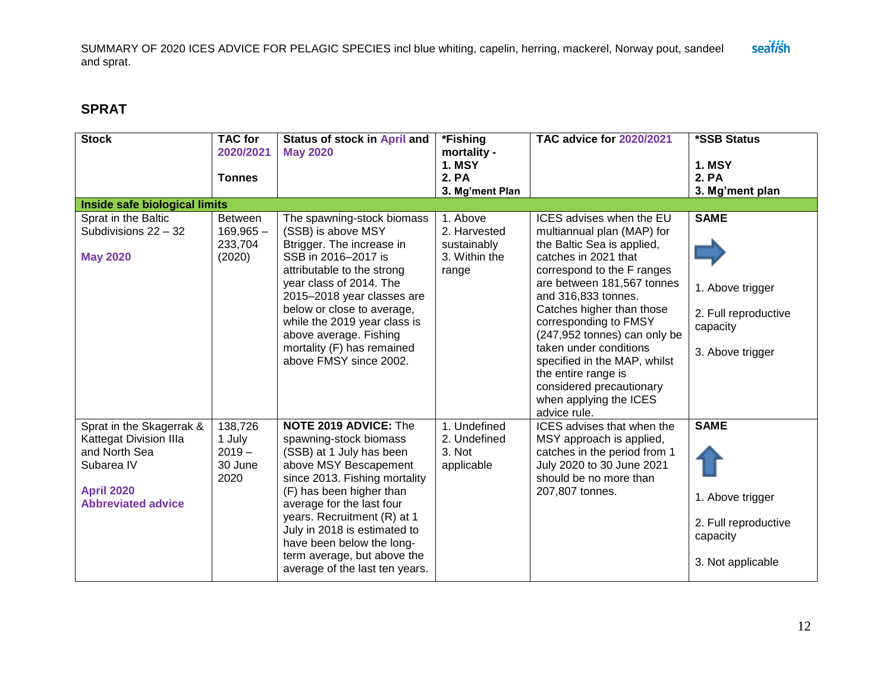# **SPRAT**

| <b>Stock</b>                                                                                                                        | <b>TAC</b> for<br>2020/2021<br><b>Tonnes</b>       | Status of stock in April and<br><b>May 2020</b>                                                                                                                                                                                                                                                                                                                    | *Fishing<br>mortality -<br><b>1. MSY</b><br>2. PA<br>3. Mg'ment Plan | <b>TAC advice for 2020/2021</b>                                                                                                                                                                                                                                                                                                                                                                                                              | *SSB Status<br><b>1. MSY</b><br>2. PA<br>3. Mg'ment plan                                 |
|-------------------------------------------------------------------------------------------------------------------------------------|----------------------------------------------------|--------------------------------------------------------------------------------------------------------------------------------------------------------------------------------------------------------------------------------------------------------------------------------------------------------------------------------------------------------------------|----------------------------------------------------------------------|----------------------------------------------------------------------------------------------------------------------------------------------------------------------------------------------------------------------------------------------------------------------------------------------------------------------------------------------------------------------------------------------------------------------------------------------|------------------------------------------------------------------------------------------|
| Inside safe biological limits                                                                                                       |                                                    |                                                                                                                                                                                                                                                                                                                                                                    |                                                                      |                                                                                                                                                                                                                                                                                                                                                                                                                                              |                                                                                          |
| Sprat in the Baltic<br>Subdivisions 22 - 32<br><b>May 2020</b>                                                                      | <b>Between</b><br>$169,965 -$<br>233,704<br>(2020) | The spawning-stock biomass<br>(SSB) is above MSY<br>Btrigger. The increase in<br>SSB in 2016-2017 is<br>attributable to the strong<br>year class of 2014. The<br>2015-2018 year classes are<br>below or close to average,<br>while the 2019 year class is<br>above average. Fishing<br>mortality (F) has remained<br>above FMSY since 2002.                        | 1. Above<br>2. Harvested<br>sustainably<br>3. Within the<br>range    | ICES advises when the EU<br>multiannual plan (MAP) for<br>the Baltic Sea is applied,<br>catches in 2021 that<br>correspond to the F ranges<br>are between 181,567 tonnes<br>and 316,833 tonnes.<br>Catches higher than those<br>corresponding to FMSY<br>(247,952 tonnes) can only be<br>taken under conditions<br>specified in the MAP, whilst<br>the entire range is<br>considered precautionary<br>when applying the ICES<br>advice rule. | <b>SAME</b><br>1. Above trigger<br>2. Full reproductive<br>capacity<br>3. Above trigger  |
| Sprat in the Skagerrak &<br>Kattegat Division IIIa<br>and North Sea<br>Subarea IV<br><b>April 2020</b><br><b>Abbreviated advice</b> | 138,726<br>1 July<br>$2019 -$<br>30 June<br>2020   | <b>NOTE 2019 ADVICE: The</b><br>spawning-stock biomass<br>(SSB) at 1 July has been<br>above MSY Bescapement<br>since 2013. Fishing mortality<br>(F) has been higher than<br>average for the last four<br>years. Recruitment (R) at 1<br>July in 2018 is estimated to<br>have been below the long-<br>term average, but above the<br>average of the last ten years. | 1. Undefined<br>2. Undefined<br>3. Not<br>applicable                 | ICES advises that when the<br>MSY approach is applied,<br>catches in the period from 1<br>July 2020 to 30 June 2021<br>should be no more than<br>207,807 tonnes.                                                                                                                                                                                                                                                                             | <b>SAME</b><br>1. Above trigger<br>2. Full reproductive<br>capacity<br>3. Not applicable |